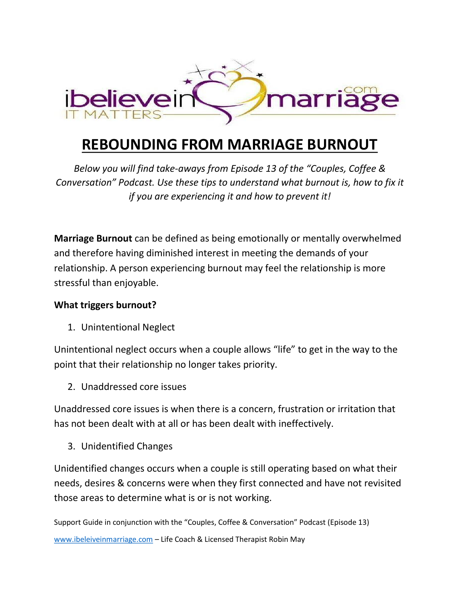

## **REBOUNDING FROM MARRIAGE BURNOUT**

*Below you will find take-aways from Episode 13 of the "Couples, Coffee & Conversation" Podcast. Use these tips to understand what burnout is, how to fix it if you are experiencing it and how to prevent it!* 

**Marriage Burnout** can be defined as being emotionally or mentally overwhelmed and therefore having diminished interest in meeting the demands of your relationship. A person experiencing burnout may feel the relationship is more stressful than enjoyable.

## **What triggers burnout?**

1. Unintentional Neglect

Unintentional neglect occurs when a couple allows "life" to get in the way to the point that their relationship no longer takes priority.

2. Unaddressed core issues

Unaddressed core issues is when there is a concern, frustration or irritation that has not been dealt with at all or has been dealt with ineffectively.

3. Unidentified Changes

Unidentified changes occurs when a couple is still operating based on what their needs, desires & concerns were when they first connected and have not revisited those areas to determine what is or is not working.

Support Guide in conjunction with the "Couples, Coffee & Conversation" Podcast (Episode 13) [www.ibeleiveinmarriage.com](http://www.ibeleiveinmarriage.com/) - Life Coach & Licensed Therapist Robin May